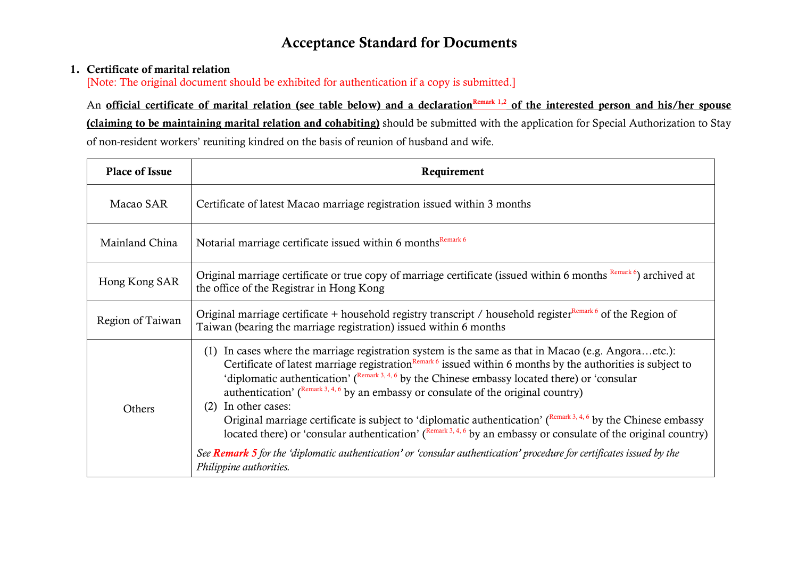# **Acceptance Standard for Documents**

## **1. Certificate of marital relation**

[Note: The original document should be exhibited for authentication if a copy is submitted.]

An **official certificate of marital relation (see table below) and a declaration<sup>Remark 1,2</sup> of the interested person and his/her spouse (claiming to be maintaining marital relation and cohabiting)** should be submitted with the application for Special Authorization to Stay of non-resident workers' reuniting kindred on the basis of reunion of husband and wife.

| <b>Place of Issue</b> | Requirement                                                                                                                                                                                                                                                                                                                                                                                                                                                                                                                                                                                                                                                                                                                                                                                                                                                                                                              |  |  |
|-----------------------|--------------------------------------------------------------------------------------------------------------------------------------------------------------------------------------------------------------------------------------------------------------------------------------------------------------------------------------------------------------------------------------------------------------------------------------------------------------------------------------------------------------------------------------------------------------------------------------------------------------------------------------------------------------------------------------------------------------------------------------------------------------------------------------------------------------------------------------------------------------------------------------------------------------------------|--|--|
| Macao SAR             | Certificate of latest Macao marriage registration issued within 3 months                                                                                                                                                                                                                                                                                                                                                                                                                                                                                                                                                                                                                                                                                                                                                                                                                                                 |  |  |
| Mainland China        | Notarial marriage certificate issued within 6 months <sup>Remark 6</sup>                                                                                                                                                                                                                                                                                                                                                                                                                                                                                                                                                                                                                                                                                                                                                                                                                                                 |  |  |
| Hong Kong SAR         | Original marriage certificate or true copy of marriage certificate (issued within 6 months Remark 6) archived at<br>the office of the Registrar in Hong Kong                                                                                                                                                                                                                                                                                                                                                                                                                                                                                                                                                                                                                                                                                                                                                             |  |  |
| Region of Taiwan      | Original marriage certificate + household registry transcript / household register <sup>Remark 6</sup> of the Region of<br>Taiwan (bearing the marriage registration) issued within 6 months                                                                                                                                                                                                                                                                                                                                                                                                                                                                                                                                                                                                                                                                                                                             |  |  |
| Others                | (1) In cases where the marriage registration system is the same as that in Macao (e.g. Angoraetc.):<br>Certificate of latest marriage registration $\frac{Remark \ 6}{\ 6}$ issued within 6 months by the authorities is subject to<br>'diplomatic authentication' ( $R_{\text{emark}}$ , 3, 4, 6 by the Chinese embassy located there) or 'consular<br>authentication' ( $\frac{\text{Remark 3, 4, 6}}{2}$ by an embassy or consulate of the original country)<br>(2) In other cases:<br>Original marriage certificate is subject to 'diplomatic authentication' ( $R_{\text{c}}^{(\text{Remark 3, 4, 6})}$ by the Chinese embassy<br>located there) or 'consular authentication' ( $R_{\text{emark}}^{3,4,6}$ by an embassy or consulate of the original country)<br>See Remark 5 for the 'diplomatic authentication' or 'consular authentication' procedure for certificates issued by the<br>Philippine authorities. |  |  |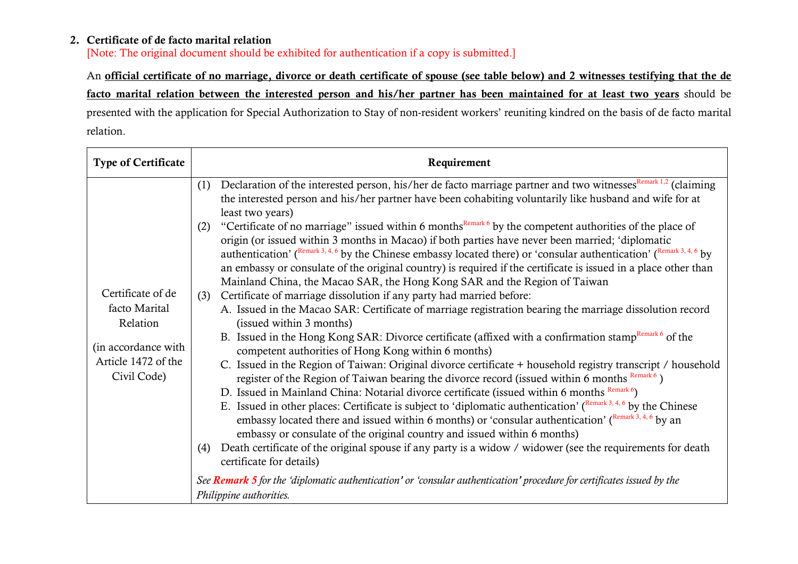# **2. Certificate of de facto marital relation**

[Note: The original document should be exhibited for authentication if a copy is submitted.]

An **official certificate of no marriage, divorce or death certificate of spouse (see table below) and 2 witnesses testifying that the de facto marital relation between the interested person and his/her partner has been maintained for at least two years** should be presented with the application for Special Authorization to Stay of non-resident workers' reuniting kindred on the basis of de facto marital relation.

| <b>Type of Certificate</b>                                                                                  | Requirement                                                                                                                                                                                                                                                                                                                                                                                                                                                                                                                                                                                      |  |  |  |
|-------------------------------------------------------------------------------------------------------------|--------------------------------------------------------------------------------------------------------------------------------------------------------------------------------------------------------------------------------------------------------------------------------------------------------------------------------------------------------------------------------------------------------------------------------------------------------------------------------------------------------------------------------------------------------------------------------------------------|--|--|--|
| Certificate of de<br>facto Marital<br>Relation<br>(in accordance with<br>Article 1472 of the<br>Civil Code) | Declaration of the interested person, his/her de facto marriage partner and two witnesses <sup>Remark 1,2</sup> (claiming<br>(1)<br>the interested person and his/her partner have been cohabiting voluntarily like husband and wife for at<br>least two years)                                                                                                                                                                                                                                                                                                                                  |  |  |  |
|                                                                                                             | "Certificate of no marriage" issued within 6 months <sup>Remark 6</sup> by the competent authorities of the place of<br>(2)<br>origin (or issued within 3 months in Macao) if both parties have never been married; 'diplomatic<br>authentication' ( $\frac{\text{Remark 3, 4, 6}}{2}$ by the Chinese embassy located there) or 'consular authentication' ( $\frac{\text{Remark 3, 4, 6}}{2}$ by<br>an embassy or consulate of the original country) is required if the certificate is issued in a place other than<br>Mainland China, the Macao SAR, the Hong Kong SAR and the Region of Taiwan |  |  |  |
|                                                                                                             | Certificate of marriage dissolution if any party had married before:<br>(3)                                                                                                                                                                                                                                                                                                                                                                                                                                                                                                                      |  |  |  |
|                                                                                                             | A. Issued in the Macao SAR: Certificate of marriage registration bearing the marriage dissolution record                                                                                                                                                                                                                                                                                                                                                                                                                                                                                         |  |  |  |
|                                                                                                             | (issued within 3 months)                                                                                                                                                                                                                                                                                                                                                                                                                                                                                                                                                                         |  |  |  |
|                                                                                                             | B. Issued in the Hong Kong SAR: Divorce certificate (affixed with a confirmation stamp <sup>Remark 6</sup> of the<br>competent authorities of Hong Kong within 6 months)                                                                                                                                                                                                                                                                                                                                                                                                                         |  |  |  |
|                                                                                                             | C. Issued in the Region of Taiwan: Original divorce certificate + household registry transcript / household<br>register of the Region of Taiwan bearing the divorce record (issued within 6 months Remark 6)                                                                                                                                                                                                                                                                                                                                                                                     |  |  |  |
|                                                                                                             | D. Issued in Mainland China: Notarial divorce certificate (issued within 6 months Remark 6)                                                                                                                                                                                                                                                                                                                                                                                                                                                                                                      |  |  |  |
|                                                                                                             | E. Issued in other places: Certificate is subject to 'diplomatic authentication' ( $R_{\text{emark}}$ 3, 4, 6 by the Chinese<br>embassy located there and issued within 6 months) or 'consular authentication' ( $R_{\text{emark}}^{\text{R}}$ , 4, 6 by an                                                                                                                                                                                                                                                                                                                                      |  |  |  |
|                                                                                                             | embassy or consulate of the original country and issued within 6 months)                                                                                                                                                                                                                                                                                                                                                                                                                                                                                                                         |  |  |  |
|                                                                                                             | Death certificate of the original spouse if any party is a widow / widower (see the requirements for death<br>(4)<br>certificate for details)                                                                                                                                                                                                                                                                                                                                                                                                                                                    |  |  |  |
|                                                                                                             | See Remark 5 for the 'diplomatic authentication' or 'consular authentication' procedure for certificates issued by the<br>Philippine authorities.                                                                                                                                                                                                                                                                                                                                                                                                                                                |  |  |  |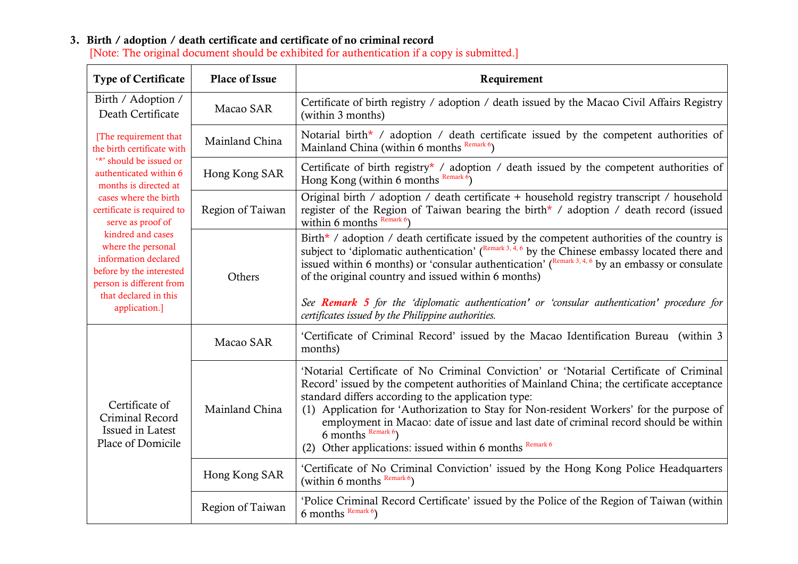#### **3. Birth / adoption / death certificate and certificate of no criminal record**  [Note: The original document should be exhibited for authentication if a copy is submitted.]

| <b>Type of Certificate</b>                                                                                                                                                                                                                                                                                                                                                         | Place of Issue   | Requirement                                                                                                                                                                                                                                                                                                                                                                                                                                                                                                                                           |
|------------------------------------------------------------------------------------------------------------------------------------------------------------------------------------------------------------------------------------------------------------------------------------------------------------------------------------------------------------------------------------|------------------|-------------------------------------------------------------------------------------------------------------------------------------------------------------------------------------------------------------------------------------------------------------------------------------------------------------------------------------------------------------------------------------------------------------------------------------------------------------------------------------------------------------------------------------------------------|
| Birth / Adoption /<br>Death Certificate                                                                                                                                                                                                                                                                                                                                            | Macao SAR        | Certificate of birth registry / adoption / death issued by the Macao Civil Affairs Registry<br>(within 3 months)                                                                                                                                                                                                                                                                                                                                                                                                                                      |
| [The requirement that<br>the birth certificate with<br>"*' should be issued or<br>authenticated within 6<br>months is directed at<br>cases where the birth<br>certificate is required to<br>serve as proof of<br>kindred and cases<br>where the personal<br>information declared<br>before by the interested<br>person is different from<br>that declared in this<br>application.] | Mainland China   | Notarial birth* / adoption / death certificate issued by the competent authorities of<br>Mainland China (within 6 months Remark 6)                                                                                                                                                                                                                                                                                                                                                                                                                    |
|                                                                                                                                                                                                                                                                                                                                                                                    | Hong Kong SAR    | Certificate of birth registry <sup>*</sup> / adoption / death issued by the competent authorities of<br>Hong Kong (within 6 months Remark 6)                                                                                                                                                                                                                                                                                                                                                                                                          |
|                                                                                                                                                                                                                                                                                                                                                                                    | Region of Taiwan | Original birth / adoption / death certificate + household registry transcript / household<br>register of the Region of Taiwan bearing the birth* / adoption / death record (issued<br>within 6 months $\frac{\text{Remark 6}}{\text{Mean 6}}$                                                                                                                                                                                                                                                                                                         |
|                                                                                                                                                                                                                                                                                                                                                                                    | Others           | Birth* / adoption / death certificate issued by the competent authorities of the country is<br>subject to 'diplomatic authentication' $(\frac{Remark\ 3, 4, 6}{\text{by the Chinese embassy located there and}})$<br>issued within 6 months) or 'consular authentication' $($ <sup>Remark 3, 4, 6</sup> by an embassy or consulate<br>of the original country and issued within 6 months)<br>See <b>Remark 5</b> for the 'diplomatic authentication' or 'consular authentication' procedure for<br>certificates issued by the Philippine authorities. |
| Certificate of<br>Criminal Record<br>Issued in Latest<br>Place of Domicile                                                                                                                                                                                                                                                                                                         | Macao SAR        | 'Certificate of Criminal Record' issued by the Macao Identification Bureau (within 3<br>months)                                                                                                                                                                                                                                                                                                                                                                                                                                                       |
|                                                                                                                                                                                                                                                                                                                                                                                    | Mainland China   | 'Notarial Certificate of No Criminal Conviction' or 'Notarial Certificate of Criminal<br>Record' issued by the competent authorities of Mainland China; the certificate acceptance<br>standard differs according to the application type:<br>(1) Application for 'Authorization to Stay for Non-resident Workers' for the purpose of<br>employment in Macao: date of issue and last date of criminal record should be within<br>6 months $\frac{\text{Remark } 6}{\text{Mean}}$<br>Other applications: issued within 6 months Remark 6<br>(2)         |
|                                                                                                                                                                                                                                                                                                                                                                                    | Hong Kong SAR    | 'Certificate of No Criminal Conviction' issued by the Hong Kong Police Headquarters<br>(within 6 months Remark 6)                                                                                                                                                                                                                                                                                                                                                                                                                                     |
|                                                                                                                                                                                                                                                                                                                                                                                    | Region of Taiwan | 'Police Criminal Record Certificate' issued by the Police of the Region of Taiwan (within<br>6 months $\frac{\text{Remark } 6}{\text{Mean}}$                                                                                                                                                                                                                                                                                                                                                                                                          |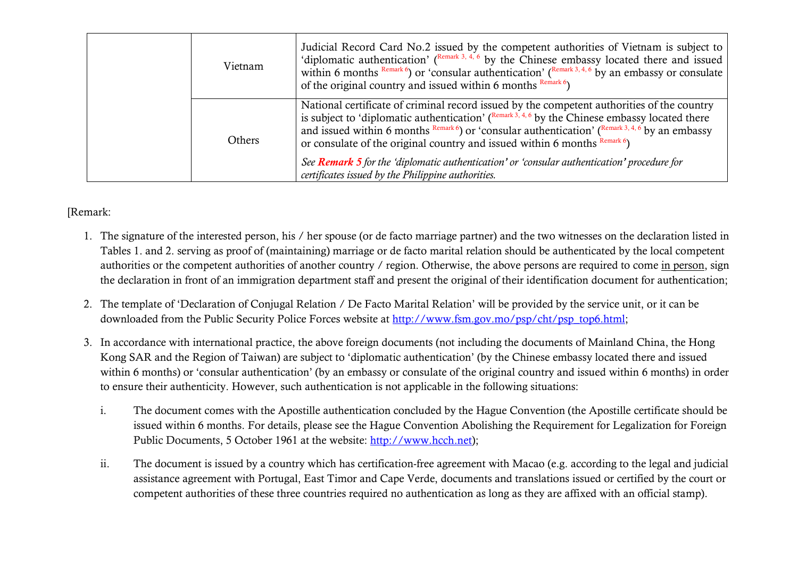| Vietnam | Judicial Record Card No.2 issued by the competent authorities of Vietnam is subject to<br>'diplomatic authentication' ( $\frac{\text{Remark 3, 4, 6}}{\text{by the Chinese embassy located there and issued}}$<br>within 6 months $\frac{Remark 6}{ }$ or 'consular authentication' ( $\frac{Remark 3, 4, 6}{ }$ by an embassy or consulate<br>of the original country and issued within 6 months $\frac{Remark\ 6}{2}$                                   |
|---------|-----------------------------------------------------------------------------------------------------------------------------------------------------------------------------------------------------------------------------------------------------------------------------------------------------------------------------------------------------------------------------------------------------------------------------------------------------------|
| Others  | National certificate of criminal record issued by the competent authorities of the country<br>is subject to 'diplomatic authentication' $(\mathbb{R}^{n\text{mark }3, 4, 6}$ by the Chinese embassy located there<br>and issued within 6 months $\frac{Remark 6}{ }$ or 'consular authentication' ( $\frac{Remark 3, 4, 6}{ }$ by an embassy<br>or consulate of the original country and issued within 6 months $\frac{\text{Remark 6}}{\text{Number 6}}$ |
|         | See Remark 5 for the 'diplomatic authentication' or 'consular authentication' procedure for<br>certificates issued by the Philippine authorities.                                                                                                                                                                                                                                                                                                         |

## [Remark:

- 1. The signature of the interested person, his / her spouse (or de facto marriage partner) and the two witnesses on the declaration listed in Tables 1. and 2. serving as proof of (maintaining) marriage or de facto marital relation should be authenticated by the local competent authorities or the competent authorities of another country / region. Otherwise, the above persons are required to come in person, sign the declaration in front of an immigration department staff and present the original of their identification document for authentication;
- 2. The template of 'Declaration of Conjugal Relation / De Facto Marital Relation' will be provided by the service unit, or it can be downloaded from the Public Security Police Forces website at http://www.fsm.gov.mo/psp/cht/psp\_top6.html;
- 3. In accordance with international practice, the above foreign documents (not including the documents of Mainland China, the Hong Kong SAR and the Region of Taiwan) are subject to 'diplomatic authentication' (by the Chinese embassy located there and issued within 6 months) or 'consular authentication' (by an embassy or consulate of the original country and issued within 6 months) in order to ensure their authenticity. However, such authentication is not applicable in the following situations:
	- i. The document comes with the Apostille authentication concluded by the Hague Convention (the Apostille certificate should be issued within 6 months. For details, please see the Hague Convention Abolishing the Requirement for Legalization for Foreign Public Documents, 5 October 1961 at the website: http://www.hcch.net);
	- ii. The document is issued by a country which has certification-free agreement with Macao (e.g. according to the legal and judicial assistance agreement with Portugal, East Timor and Cape Verde, documents and translations issued or certified by the court or competent authorities of these three countries required no authentication as long as they are affixed with an official stamp).